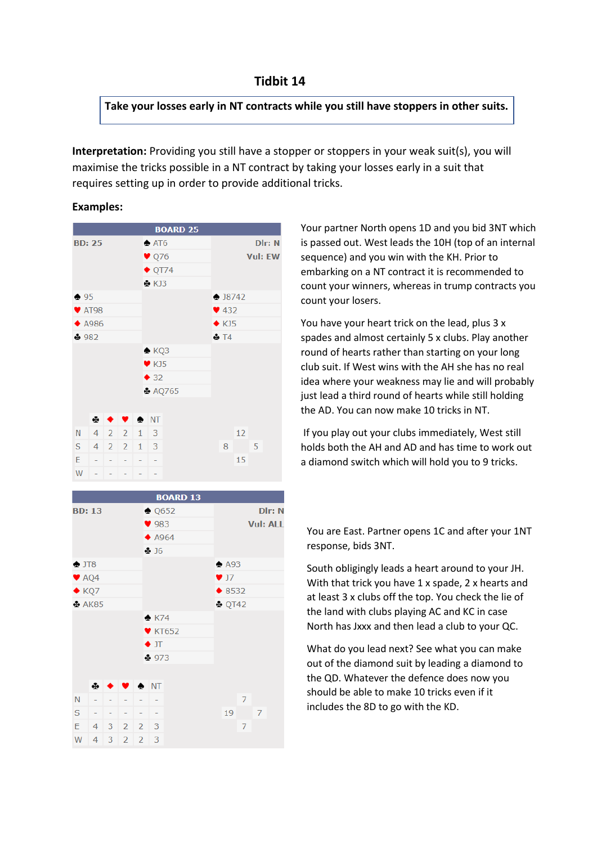**Take your losses early in NT contracts while you still have stoppers in other suits.**

**Interpretation:** Providing you still have a stopper or stoppers in your weak suit(s), you will maximise the tricks possible in a NT contract by taking your losses early in a suit that requires setting up in order to provide additional tricks.

## **Examples:**





Your partner North opens 1D and you bid 3NT which is passed out. West leads the 10H (top of an internal sequence) and you win with the KH. Prior to embarking on a NT contract it is recommended to count your winners, whereas in trump contracts you count your losers.

You have your heart trick on the lead, plus 3 x spades and almost certainly 5 x clubs. Play another round of hearts rather than starting on your long club suit. If West wins with the AH she has no real idea where your weakness may lie and will probably just lead a third round of hearts while still holding the AD. You can now make 10 tricks in NT.

If you play out your clubs immediately, West still holds both the AH and AD and has time to work out a diamond switch which will hold you to 9 tricks.

You are East. Partner opens 1C and after your 1NT response, bids 3NT.

South obligingly leads a heart around to your JH. With that trick you have 1 x spade, 2 x hearts and at least 3 x clubs off the top. You check the lie of the land with clubs playing AC and KC in case North has Jxxx and then lead a club to your QC.

What do you lead next? See what you can make out of the diamond suit by leading a diamond to the QD. Whatever the defence does now you should be able to make 10 tricks even if it includes the 8D to go with the KD.